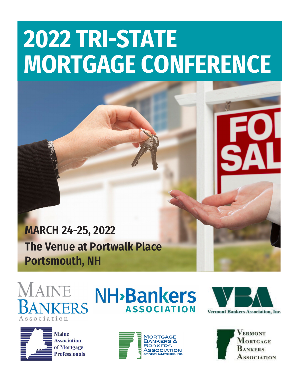# **2022 TRI-STATE MORTGAGE CONFERENCE**

#### **MARCH 24-25, 2022 The Venue at Portwalk Place Portsmouth, NH**

## ERS Association



**NH**<sub></sub>Bankers **ASSOCIATION** 





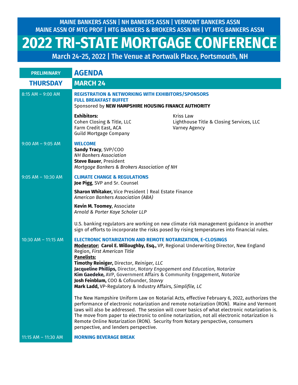MAINE BANKERS ASSN | NH BANKERS ASSN | VERMONT BANKERS ASSN MAINE ASSN OF MTG PROF | MTG BANKERS & BROKERS ASSN NH | VT MTG BANKERS ASSN

#### **2022 TRI-STATE MORTGAGE CONFERENCE**

March 24-25, 2022 | The Venue at Portwalk Place, Portsmouth, NH

| <b>PRELIMINARY</b>    | <b>AGENDA</b>                                                                                                                                                                                                                                                                                                                                                                                                                                                                                                               |                                                                                                                                                                                                                                                                                                                                                                                         |
|-----------------------|-----------------------------------------------------------------------------------------------------------------------------------------------------------------------------------------------------------------------------------------------------------------------------------------------------------------------------------------------------------------------------------------------------------------------------------------------------------------------------------------------------------------------------|-----------------------------------------------------------------------------------------------------------------------------------------------------------------------------------------------------------------------------------------------------------------------------------------------------------------------------------------------------------------------------------------|
| <b>THURSDAY</b>       | <b>MARCH 24</b>                                                                                                                                                                                                                                                                                                                                                                                                                                                                                                             |                                                                                                                                                                                                                                                                                                                                                                                         |
| $8:15$ AM - 9:00 AM   | <b>REGISTRATION &amp; NETWORKING WITH EXHIBITORS/SPONSORS</b><br><b>FULL BREAKFAST BUFFET</b><br>Sponsored by NEW HAMPSHIRE HOUSING FINANCE AUTHORITY                                                                                                                                                                                                                                                                                                                                                                       |                                                                                                                                                                                                                                                                                                                                                                                         |
|                       | <b>Exhibitors:</b><br>Cohen Closing & Title, LLC<br>Farm Credit East, ACA<br><b>Guild Mortgage Company</b>                                                                                                                                                                                                                                                                                                                                                                                                                  | <b>Kriss Law</b><br>Lighthouse Title & Closing Services, LLC<br>Varney Agency                                                                                                                                                                                                                                                                                                           |
| $9:00$ AM - $9:05$ AM | <b>WELCOME</b><br>Sandy Tracy, SVP/COO<br><b>NH Bankers Association</b><br><b>Steve Bauer, President</b><br>Mortgage Bankers & Brokers Association of NH                                                                                                                                                                                                                                                                                                                                                                    |                                                                                                                                                                                                                                                                                                                                                                                         |
| $9:05$ AM - 10:30 AM  | <b>CLIMATE CHANGE &amp; REGULATIONS</b><br>Joe Pigg, SVP and Sr. Counsel                                                                                                                                                                                                                                                                                                                                                                                                                                                    |                                                                                                                                                                                                                                                                                                                                                                                         |
|                       | <b>Sharon Whitaker, Vice President   Real Estate Finance</b><br>American Bankers Association (ABA)                                                                                                                                                                                                                                                                                                                                                                                                                          |                                                                                                                                                                                                                                                                                                                                                                                         |
|                       | Kevin M. Toomey, Associate<br>Arnold & Porter Kaye Scholer LLP                                                                                                                                                                                                                                                                                                                                                                                                                                                              |                                                                                                                                                                                                                                                                                                                                                                                         |
|                       |                                                                                                                                                                                                                                                                                                                                                                                                                                                                                                                             | U.S. banking regulators are working on new climate risk management guidance in another<br>sign of efforts to incorporate the risks posed by rising temperatures into financial rules.                                                                                                                                                                                                   |
| 10:30 AM - 11:15 AM   | <b>ELECTRONIC NOTARIZATION AND REMOTE NOTARIZATION, E-CLOSINGS</b><br>Moderator: Carol E. Willoughby, Esq., VP, Regional Underwriting Director, New England<br>Region, First American Title<br><b>Panelists:</b><br>Timothy Reiniger, Director, Reiniger, LLC<br>Jacqueline Phillips, Director, Notary Engagement and Education, Notarize<br>Kim Gaedeke, AVP, Government Affairs & Community Engagement, Notarize<br>Josh Feinblum, COO & Cofounder, Stavvy<br>Mark Ladd, VP-Regulatory & Industry Affairs, Simplifile, LC |                                                                                                                                                                                                                                                                                                                                                                                         |
|                       | Remote Online Notarization (RON). Security from Notary perspective, consumers<br>perspective, and lenders perspective.                                                                                                                                                                                                                                                                                                                                                                                                      | The New Hampshire Uniform Law on Notarial Acts, effective February 6, 2022, authorizes the<br>performance of electronic notarization and remote notarization (RON). Maine and Vermont<br>laws will also be addressed. The session will cover basics of what electronic notarization is.<br>The move from paper to electronic to online notarization, not all electronic notarization is |
| 11:15 AM - 11:30 AM   | <b>MORNING BEVERAGE BREAK</b>                                                                                                                                                                                                                                                                                                                                                                                                                                                                                               |                                                                                                                                                                                                                                                                                                                                                                                         |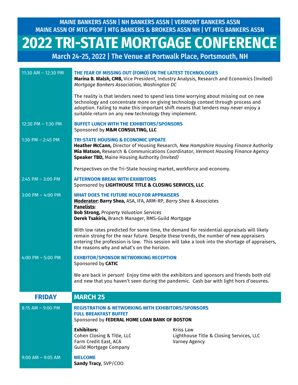MAINE BANKERS ASSN | NH BANKERS ASSN | VERMONT BANKERS ASSN MAINE ASSN OF MTG PROF | MTG BANKERS & BROKERS ASSN NH | VT MTG BANKERS ASSN

### **2022 TRI-STATE MORTGAGE CONFERENCE**

March 24-25, 2022 | The Venue at Portwalk Place, Portsmouth, NH

| 11:30 AM - 12:30 PM   | THE FEAR OF MISSING OUT (FOMO) ON THE LATEST TECHNOLOGIES<br>Mortgage Bankers Association, Washington DC<br>The reality is that lenders need to spend less time worrying about missing out on new<br>technology and concentrate more on giving technology context through process and<br>adoption. Failing to make this important shift means that lenders may never enjoy a | Marina B. Walsh, CMB, Vice President, Industry Analysis, Research and Economics (Invited)                                                                                                   |  |
|-----------------------|------------------------------------------------------------------------------------------------------------------------------------------------------------------------------------------------------------------------------------------------------------------------------------------------------------------------------------------------------------------------------|---------------------------------------------------------------------------------------------------------------------------------------------------------------------------------------------|--|
| 12:30 PM - 1:30 PM    | suitable return on any new technology they implement.<br><b>BUFFET LUNCH WITH THE EXHIBITORS/SPONSORS</b><br>Sponsored by M&M CONSULTING, LLC                                                                                                                                                                                                                                |                                                                                                                                                                                             |  |
| 1:30 PM $-$ 2:45 PM   | <b>TRI-STATE HOUSING &amp; ECONOMIC UPDATE</b><br>Heather McCann, Director of Housing Research, New Hampshire Housing Finance Authority<br>Mia Watson, Research & Communications Coordinator, Vermont Housing Finance Agency<br><b>Speaker TBD, Maine Housing Authority (Invited)</b>                                                                                        |                                                                                                                                                                                             |  |
|                       | Perspectives on the Tri-State housing market, workforce and economy.                                                                                                                                                                                                                                                                                                         |                                                                                                                                                                                             |  |
| $2:45$ PM - 3:00 PM   | <b>AFTERNOON BREAK WITH EXHIBITORS</b><br>Sponsored by LIGHTHOUSE TITLE & CLOSING SERVICES, LLC                                                                                                                                                                                                                                                                              |                                                                                                                                                                                             |  |
| 3:00 PM $-$ 4:00 PM   | <b>WHAT DOES THE FUTURE HOLD FOR APPRAISERS</b><br>Moderator: Barry Shea, ASA, IFA, ARM-RP, Barry Shea & Associates<br><b>Panelists:</b><br><b>Bob Strong, Property Valuation Services</b><br>Derek Tsakiris, Branch Manager, RMS-Guild Mortgage                                                                                                                             |                                                                                                                                                                                             |  |
|                       | remain strong for the near future. Despite these trends, the number of new appraisers<br>the reasons why and what's on the horizon.                                                                                                                                                                                                                                          | With low rates predicted for some time, the demand for residential appraisals will likely<br>entering the profession is low. This session will take a look into the shortage of appraisers, |  |
| 4:00 PM $-$ 5:00 PM   | <b>EXHBITOR/SPONSOR NETWORKING RECEPTION</b><br>Sponsored by CATIC                                                                                                                                                                                                                                                                                                           |                                                                                                                                                                                             |  |
|                       | We are back in person! Enjoy time with the exhibitors and sponsors and friends both old<br>and new that you haven't seen during the pandemic. Cash bar with light hors d'oeuvres.                                                                                                                                                                                            |                                                                                                                                                                                             |  |
| <b>FRIDAY</b>         | <b>MARCH 25</b>                                                                                                                                                                                                                                                                                                                                                              |                                                                                                                                                                                             |  |
| $8:15$ AM $-$ 9:00 PM | <b>REGISTRATION &amp; NETWORKING WITH EXHIBITORS/SPONSORS</b><br><b>FULL BREAKFAST BUFFET</b><br>Sponsored by FEDERAL HOME LOAN BANK OF BOSTON                                                                                                                                                                                                                               |                                                                                                                                                                                             |  |
|                       | <b>Exhibitors:</b><br>Cohen Closing & Title, LLC<br>Farm Credit East, ACA<br><b>Guild Mortgage Company</b>                                                                                                                                                                                                                                                                   | <b>Kriss Law</b><br>Lighthouse Title & Closing Services, LLC<br>Varney Agency                                                                                                               |  |
| $9:00$ AM $-$ 9:05 AM | <b>WELCOME</b><br>Sandy Tracy, SVP/COO                                                                                                                                                                                                                                                                                                                                       |                                                                                                                                                                                             |  |